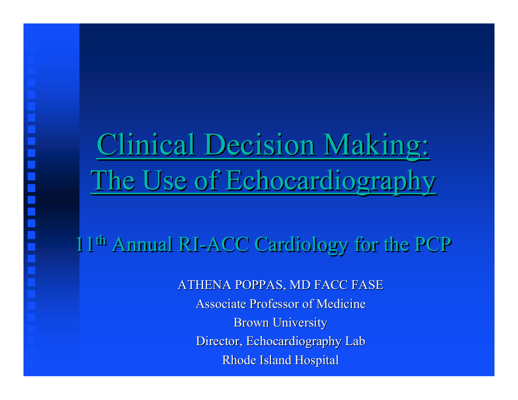## Clinical Decision Making: Clinical Decision Making: The Use of Echocardiography The Use of Echocardiography

11th Annual RI-ACC Cardiology for the PCP 11th Annual RI-ACC Cardiology for the PCP

ATHENA POPPAS, MD FACC FASE Associate Professor of Medicine **Brown University** Director, Echocardiography Lab Rhode Island Hospital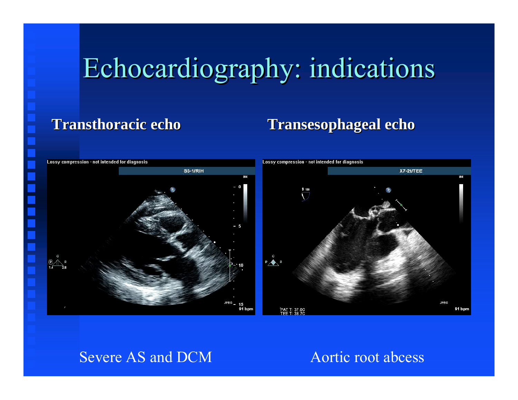## Echocardiography: indications Echocardiography: indications

### **Transthoracic echo Transthoracic echo**

### **Transesophageal echo Transesophageal echo**



### Severe AS and DCM Aortic root abcess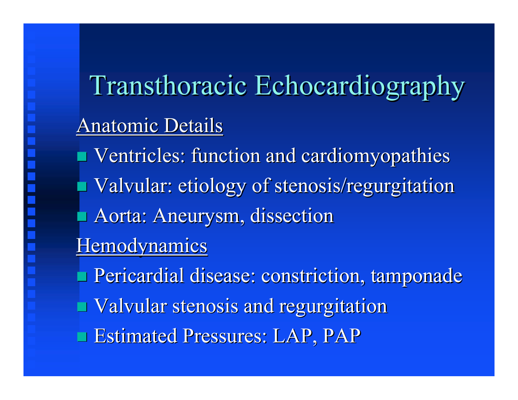# Transthoracic Echocardiography Transthoracic Echocardiography **Anatomic Details**

- Ventricles: function and cardiomyopathies Ventricles: function and cardiomyopathies Valvular: etiology of stenosis/regurgitation Aorta: Aneurysm, dissection **Hemodynamics** Pericardial disease: constriction, tamponade Pericardial disease: constriction, tamponade
- Valvular stenosis and regurgitation Valvular stenosis and regurgitation
- **Estimated Pressures: LAP, PAP**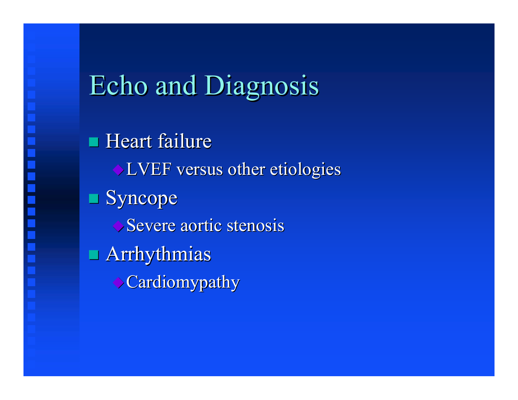## **Echo and Diagnosis**

 $\blacksquare$  Heart failure  $\triangle$  LVEF versus other etiologies  $\blacksquare$  Syncope  $\rightarrow$  Severe aortic stenosis  $\blacksquare$  Arrhythmias **Cardiomypathy**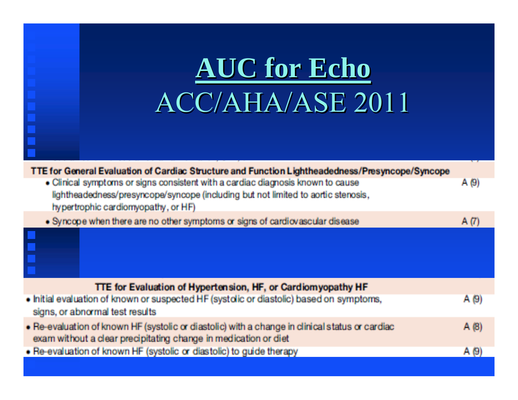|                                                                                                                                                                            | AUC for Echo<br>ACC/AHA/ASE 2011                                                                                                                                                                            |       |  |  |
|----------------------------------------------------------------------------------------------------------------------------------------------------------------------------|-------------------------------------------------------------------------------------------------------------------------------------------------------------------------------------------------------------|-------|--|--|
|                                                                                                                                                                            | TTE for General Evaluation of Cardiac Structure and Function Lightheadedness/Presyncope/Syncope                                                                                                             |       |  |  |
|                                                                                                                                                                            | • Clinical symptoms or signs consistent with a cardiac diagnosis known to cause<br>lightheadedness/presyncope/syncope (including but not limited to aortic stenosis,<br>hypertrophic cardiomyopathy, or HF) | A (9) |  |  |
|                                                                                                                                                                            | . Syncope when there are no other symptoms or signs of cardiovascular disease                                                                                                                               | A(T)  |  |  |
| Ē                                                                                                                                                                          |                                                                                                                                                                                                             |       |  |  |
|                                                                                                                                                                            | TTE for Evaluation of Hypertension, HF, or Cardiomyopathy HF                                                                                                                                                |       |  |  |
| . Initial evaluation of known or suspected HF (systolic or diastolic) based on symptoms,<br>A(9)<br>signs, or abnormal test results                                        |                                                                                                                                                                                                             |       |  |  |
| . Re-evaluation of known HF (systolic or diastolic) with a change in clinical status or cardiac<br>A(B)<br>exam without a clear precipitating change in medication or diet |                                                                                                                                                                                                             |       |  |  |
|                                                                                                                                                                            | . Re-evaluation of known HF (systolic or diastolic) to guide therapy<br>A(9)                                                                                                                                |       |  |  |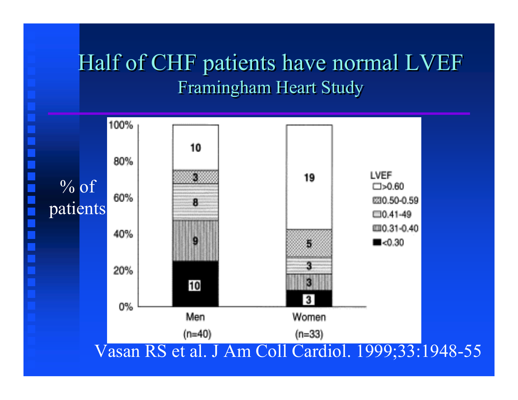### Half of CHF patients have normal LVEF Half of CHF patients have normal LVEF Framingham Heart Study Framingham Heart Study

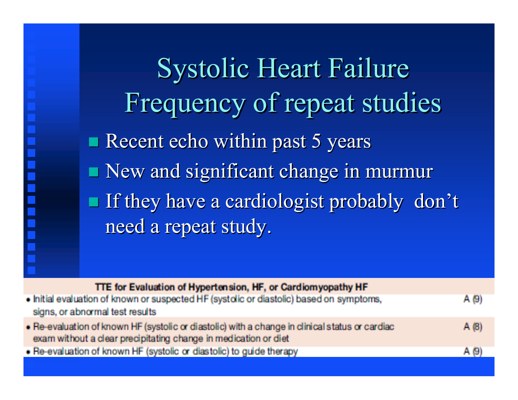Systolic Heart Failure Systolic Heart Failure Frequency of repeat studies Frequency of repeat studies  $\blacksquare$  Recent echo within past 5 years  $\blacksquare$  New and significant change in murmur  $\blacksquare$  If they have a cardiologist probably don't need a repeat study.

| TTE for Evaluation of Hypertension, HF, or Cardiomyopathy HF                                    |      |
|-------------------------------------------------------------------------------------------------|------|
| . Initial evaluation of known or suspected HF (systolic or diastolic) based on symptoms,        | A(9) |
| signs, or abnormal test results                                                                 |      |
| . Re-evaluation of known HF (systolic or diastolic) with a change in clinical status or cardiac | A(8) |
| exam without a clear precipitating change in medication or diet                                 |      |
| • Re-evaluation of known HF (systolic or diastolic) to guide therapy                            | A(9) |
|                                                                                                 |      |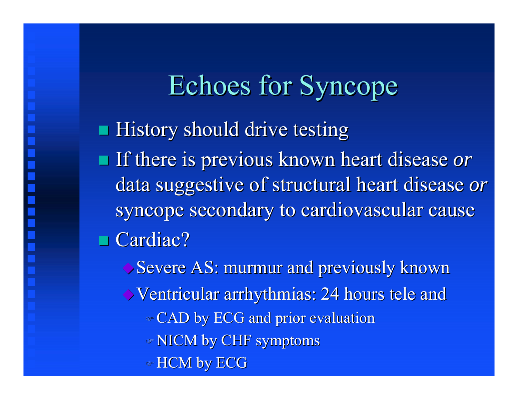Echoes for Syncope **History should drive testing** If there is previous known heart disease *or* data suggestive of structural heart disease *or* syncope secondary to cardiovascular cause  $\blacksquare$  Cardiac?

Severe AS: murmur and previously known Ventricular arrhythmias: 24 hours tele and Ventricular arrhythmias: 24 hours tele and CAD by ECG and prior evaluation CAD by ECG and prior evaluation NICM by CHF symptoms NICM by CHF symptoms  $\triangleleft$  HCM by ECG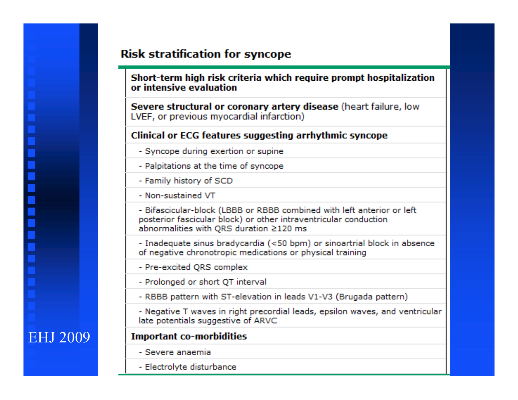### **Risk stratification for syncope**

Short-term high risk criteria which require prompt hospitalization or intensive evaluation

Severe structural or coronary artery disease (heart failure. low LVEF, or previous myocardial infarction)

#### **Clinical or ECG features suggesting arrhythmic syncope**

- Syncope during exertion or supine
- Palpitations at the time of syncope
- Family history of SCD
- Non-sustained VT
- Bifascicular-block (LBBB or RBBB combined with left anterior or left posterior fascicular block) or other intraventricular conduction abnormalities with QRS duration ≥120 ms
- Inadequate sinus bradycardia (<50 bpm) or sinoartrial block in absence of negative chronotropic medications or physical training
- Pre-excited ORS complex
- Prolonged or short QT interval
- RBBB pattern with ST-elevation in leads V1-V3 (Brugada pattern)
- Negative T waves in right precordial leads, epsilon waves, and ventricular late potentials suggestive of ARVC

### **Important co-morbidities**

- Severe anaemia
- Electrolyte disturbance

### **EHJ 2009**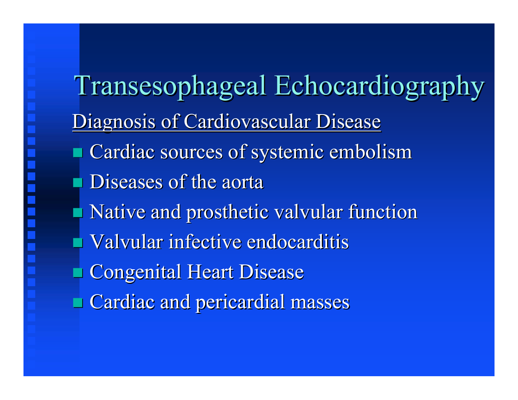Transesophageal Echocardiography Transesophageal Echocardiography Diagnosis of Cardiovascular Disease Cardiac sources of systemic embolism Diseases of the aorta Native and prosthetic valvular function Valvular infective endocarditis **Congenital Heart Disease**  $\blacksquare$  Cardiac and pericardial masses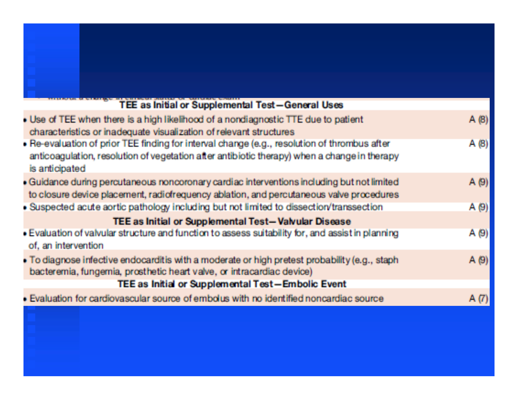| TEE as Initial or Supplemental Test-General Uses                                                                                                                                                               |      |
|----------------------------------------------------------------------------------------------------------------------------------------------------------------------------------------------------------------|------|
| . Use of TEE when there is a high likelihood of a nondiagnostic TTE due to patient<br>characteristics or inadequate visualization of relevant structures                                                       | A(8) |
| » Re-evaluation of prior TEE finding for interval change (e.g., resolution of thrombus after<br>anticoaqulation, resolution of vegetation after antibiotic therapy) when a change in therapy<br>is anticipated | A(8) |
| . Guidance during percutaneous noncoronary cardiac interventions including but not limited<br>to closure device placement, radiofrequency ablation, and percutaneous valve procedures                          | A(9) |
| . Suspected acute aortic pathology including but not limited to dissection/transsection                                                                                                                        | A(9) |
| TEE as Initial or Supplemental Test-Valvular Disease                                                                                                                                                           |      |
| . Evaluation of valvular structure and function to assess suitability for, and assist in planning<br>of, an intervention                                                                                       | A(9) |
| . To diagnose infective endocarditis with a moderate or high pretest probability (e.g., staph<br>bacteremia, fungemia, prosthetic heart valve, or intracardiac device)                                         | A(9) |
| TEE as Initial or Supplemental Test-Embolic Event                                                                                                                                                              |      |
| . Evaluation for cardiovascular source of embolus with no identified noncardiac source                                                                                                                         | A(7) |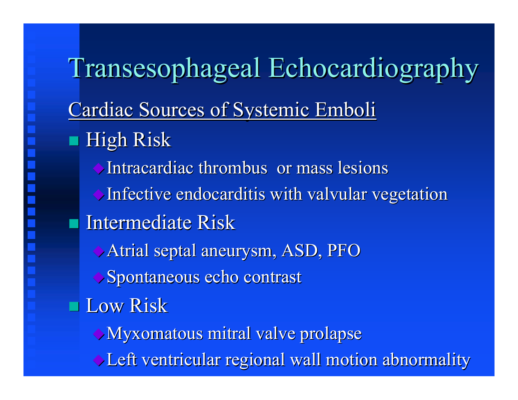## Transesophageal Echocardiography Cardiac Sources of Systemic Emboli  $\blacksquare$  High Risk Intracardiac thrombus or mass lesions Infective endocarditis with valvular vegetation Intermediate Risk Atrial septal aneurysm, ASD, PFO Spontaneous echo contrast **Low Risk** Myxomatous mitral valve prolapse Myxomatous mitral valve prolapse Left ventricular regional wall motion abnormality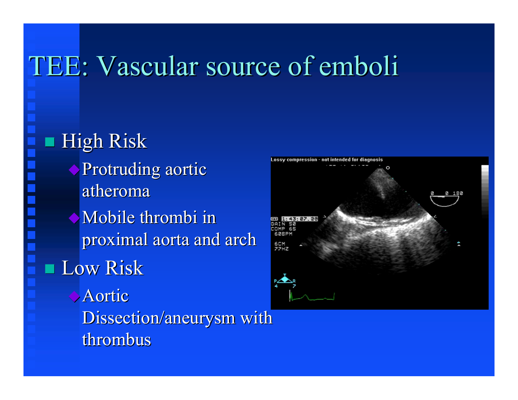## TEE: Vascular source of emboli

High Risk **Protruding aortic** atheroma Mobile thrombi in proximal aorta and arch **Low Risk** Aortic Dissection/aneurysm with thrombus

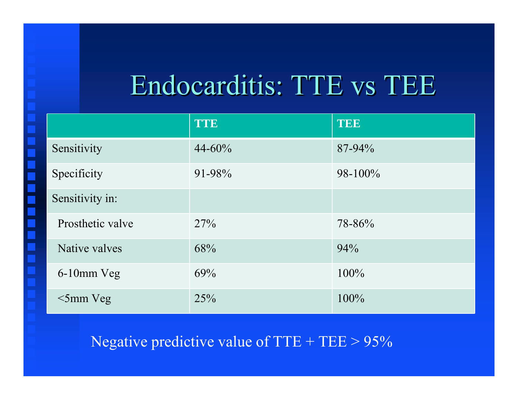## Endocarditis: TTE vs TEE

|                  | <b>TTE</b>  | TEE          |
|------------------|-------------|--------------|
| Sensitivity      | $44 - 60\%$ | 87-94%       |
| Specificity      | 91-98%      | $98 - 100\%$ |
| Sensitivity in:  |             |              |
| Prosthetic valve | 27%         | 78-86%       |
| Native valves    | 68%         | 94%          |
| 6-10mm Veg       | 69%         | $100\%$      |
| $\leq$ 5mm Veg   | 25%         | 100%         |

Negative predictive value of  $TTE + TEE > 95\%$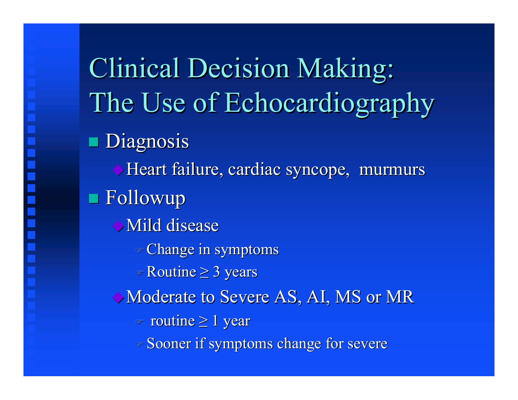Clinical Decision Making: Clinical Decision Making: The Use of Echocardiography The Use of Echocardiography **Diagnosis** Heart failure, cardiac syncope, murmurs  $\blacksquare$  Followup  $\rightarrow$  Mild disease Change in symptoms Change in symptoms  $\textdegree$  Routine  $\geq$  3 years Moderate to Severe AS, AI, MS or MR  $\textdegree$  routine  $\geq 1$  year Sooner if symptoms change for severe